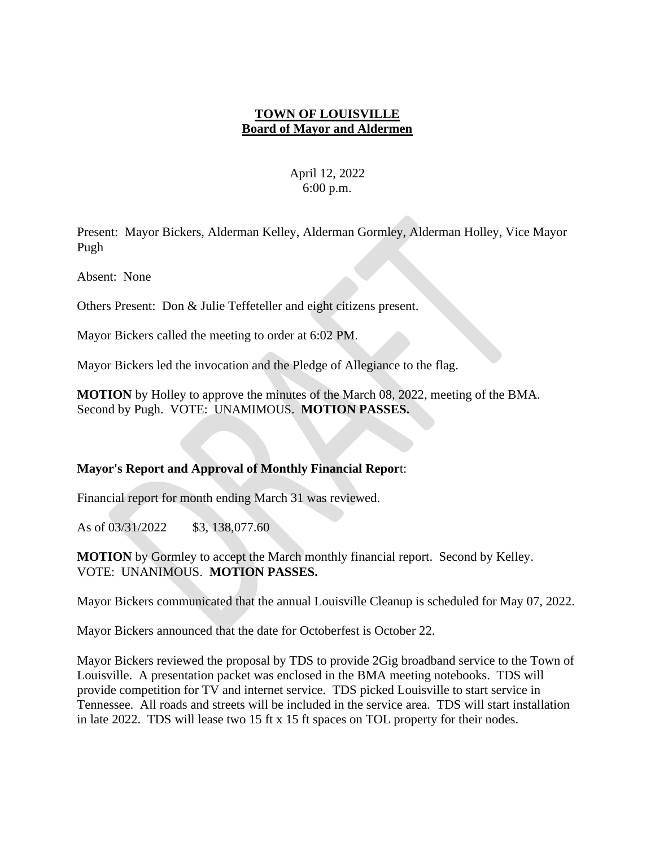### **TOWN OF LOUISVILLE Board of Mayor and Aldermen**

## April 12, 2022 6:00 p.m.

Present: Mayor Bickers, Alderman Kelley, Alderman Gormley, Alderman Holley, Vice Mayor Pugh

Absent: None

Others Present: Don & Julie Teffeteller and eight citizens present.

Mayor Bickers called the meeting to order at 6:02 PM.

Mayor Bickers led the invocation and the Pledge of Allegiance to the flag.

**MOTION** by Holley to approve the minutes of the March 08, 2022, meeting of the BMA. Second by Pugh. VOTE: UNAMIMOUS. **MOTION PASSES.**

### **Mayor's Report and Approval of Monthly Financial Repor**t:

Financial report for month ending March 31 was reviewed.

As of 03/31/2022 \$3, 138,077.60

**MOTION** by Gormley to accept the March monthly financial report. Second by Kelley. VOTE: UNANIMOUS. **MOTION PASSES.**

Mayor Bickers communicated that the annual Louisville Cleanup is scheduled for May 07, 2022.

Mayor Bickers announced that the date for Octoberfest is October 22.

Mayor Bickers reviewed the proposal by TDS to provide 2Gig broadband service to the Town of Louisville. A presentation packet was enclosed in the BMA meeting notebooks. TDS will provide competition for TV and internet service. TDS picked Louisville to start service in Tennessee. All roads and streets will be included in the service area. TDS will start installation in late 2022. TDS will lease two 15 ft x 15 ft spaces on TOL property for their nodes.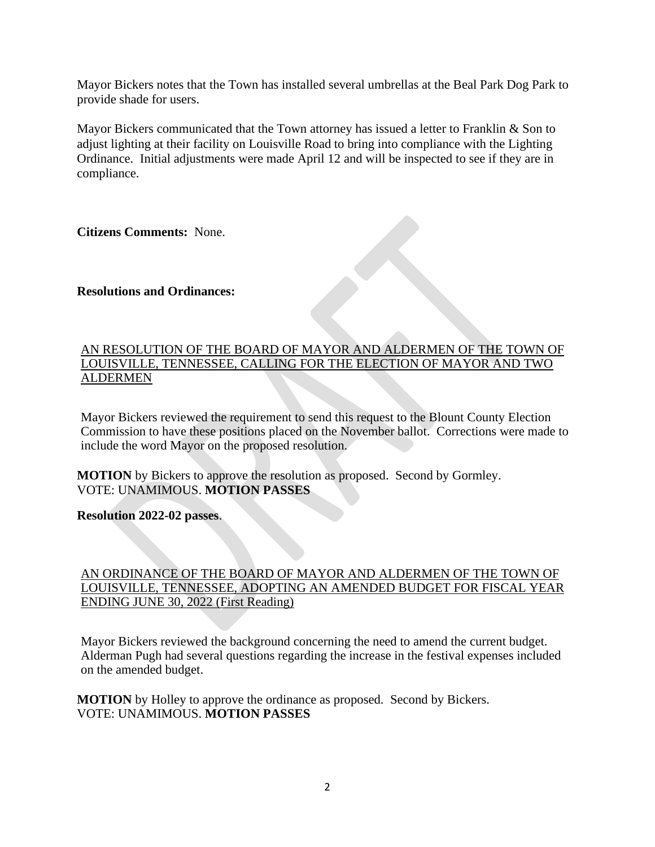Mayor Bickers notes that the Town has installed several umbrellas at the Beal Park Dog Park to provide shade for users.

Mayor Bickers communicated that the Town attorney has issued a letter to Franklin & Son to adjust lighting at their facility on Louisville Road to bring into compliance with the Lighting Ordinance. Initial adjustments were made April 12 and will be inspected to see if they are in compliance.

**Citizens Comments:** None.

#### **Resolutions and Ordinances:**

#### AN RESOLUTION OF THE BOARD OF MAYOR AND ALDERMEN OF THE TOWN OF LOUISVILLE, TENNESSEE, CALLING FOR THE ELECTION OF MAYOR AND TWO ALDERMEN

Mayor Bickers reviewed the requirement to send this request to the Blount County Election Commission to have these positions placed on the November ballot. Corrections were made to include the word Mayor on the proposed resolution.

**MOTION** by Bickers to approve the resolution as proposed. Second by Gormley. VOTE: UNAMIMOUS. **MOTION PASSES**

**Resolution 2022-02 passes**.

### AN ORDINANCE OF THE BOARD OF MAYOR AND ALDERMEN OF THE TOWN OF LOUISVILLE, TENNESSEE, ADOPTING AN AMENDED BUDGET FOR FISCAL YEAR ENDING JUNE 30, 2022 (First Reading)

Mayor Bickers reviewed the background concerning the need to amend the current budget. Alderman Pugh had several questions regarding the increase in the festival expenses included on the amended budget.

**MOTION** by Holley to approve the ordinance as proposed. Second by Bickers. VOTE: UNAMIMOUS. **MOTION PASSES**